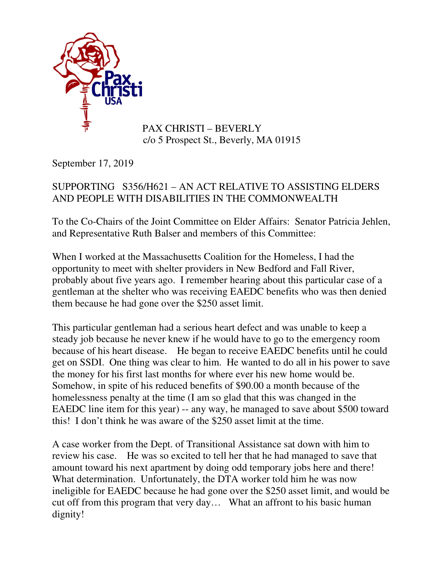

## PAX CHRISTI – BEVERLY c/o 5 Prospect St., Beverly, MA 01915

September 17, 2019

## SUPPORTING S356/H621 – AN ACT RELATIVE TO ASSISTING ELDERS AND PEOPLE WITH DISABILITIES IN THE COMMONWEALTH

To the Co-Chairs of the Joint Committee on Elder Affairs: Senator Patricia Jehlen, and Representative Ruth Balser and members of this Committee:

When I worked at the Massachusetts Coalition for the Homeless, I had the opportunity to meet with shelter providers in New Bedford and Fall River, probably about five years ago. I remember hearing about this particular case of a gentleman at the shelter who was receiving EAEDC benefits who was then denied them because he had gone over the \$250 asset limit.

This particular gentleman had a serious heart defect and was unable to keep a steady job because he never knew if he would have to go to the emergency room because of his heart disease. He began to receive EAEDC benefits until he could get on SSDI. One thing was clear to him. He wanted to do all in his power to save the money for his first last months for where ever his new home would be. Somehow, in spite of his reduced benefits of \$90.00 a month because of the homelessness penalty at the time (I am so glad that this was changed in the EAEDC line item for this year) -- any way, he managed to save about \$500 toward this! I don't think he was aware of the \$250 asset limit at the time.

A case worker from the Dept. of Transitional Assistance sat down with him to review his case. He was so excited to tell her that he had managed to save that amount toward his next apartment by doing odd temporary jobs here and there! What determination. Unfortunately, the DTA worker told him he was now ineligible for EAEDC because he had gone over the \$250 asset limit, and would be cut off from this program that very day… What an affront to his basic human dignity!